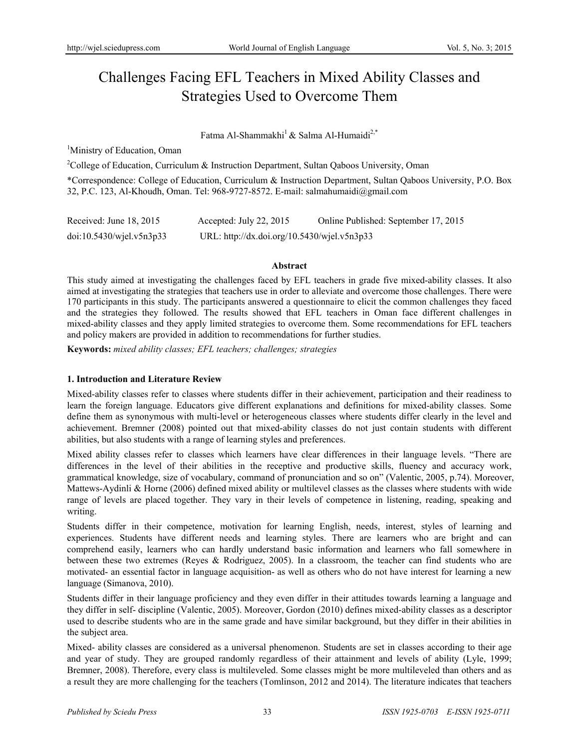# Challenges Facing EFL Teachers in Mixed Ability Classes and Strategies Used to Overcome Them

# Fatma Al-Shammakhi<sup>1</sup> & Salma Al-Humaidi<sup>2,\*</sup>

<sup>1</sup>Ministry of Education, Oman

<sup>2</sup>College of Education, Curriculum & Instruction Department, Sultan Qaboos University, Oman

\*Correspondence: College of Education, Curriculum & Instruction Department, Sultan Qaboos University, P.O. Box 32, P.C. 123, Al-Khoudh, Oman. Tel: 968-9727-8572. E-mail: salmahumaidi@gmail.com

| Received: June $18, 2015$ | Accepted: July 22, 2015                     | Online Published: September 17, 2015 |
|---------------------------|---------------------------------------------|--------------------------------------|
| doi:10.5430/wjel.v5n3p33  | URL: http://dx.doi.org/10.5430/wjel.v5n3p33 |                                      |

## **Abstract**

This study aimed at investigating the challenges faced by EFL teachers in grade five mixed-ability classes. It also aimed at investigating the strategies that teachers use in order to alleviate and overcome those challenges. There were 170 participants in this study. The participants answered a questionnaire to elicit the common challenges they faced and the strategies they followed. The results showed that EFL teachers in Oman face different challenges in mixed-ability classes and they apply limited strategies to overcome them. Some recommendations for EFL teachers and policy makers are provided in addition to recommendations for further studies.

**Keywords:** *mixed ability classes; EFL teachers; challenges; strategies*

## **1. Introduction and Literature Review**

Mixed-ability classes refer to classes where students differ in their achievement, participation and their readiness to learn the foreign language. Educators give different explanations and definitions for mixed-ability classes. Some define them as synonymous with multi-level or heterogeneous classes where students differ clearly in the level and achievement. Bremner (2008) pointed out that mixed-ability classes do not just contain students with different abilities, but also students with a range of learning styles and preferences.

Mixed ability classes refer to classes which learners have clear differences in their language levels. "There are differences in the level of their abilities in the receptive and productive skills, fluency and accuracy work, grammatical knowledge, size of vocabulary, command of pronunciation and so on" (Valentic, 2005, p.74). Moreover, Mattews-Aydinli & Horne (2006) defined mixed ability or multilevel classes as the classes where students with wide range of levels are placed together. They vary in their levels of competence in listening, reading, speaking and writing.

Students differ in their competence, motivation for learning English, needs, interest, styles of learning and experiences. Students have different needs and learning styles. There are learners who are bright and can comprehend easily, learners who can hardly understand basic information and learners who fall somewhere in between these two extremes (Reyes & Rodriguez, 2005). In a classroom, the teacher can find students who are motivated- an essential factor in language acquisition- as well as others who do not have interest for learning a new language (Simanova, 2010).

Students differ in their language proficiency and they even differ in their attitudes towards learning a language and they differ in self- discipline (Valentic, 2005). Moreover, Gordon (2010) defines mixed-ability classes as a descriptor used to describe students who are in the same grade and have similar background, but they differ in their abilities in the subject area.

Mixed- ability classes are considered as a universal phenomenon. Students are set in classes according to their age and year of study. They are grouped randomly regardless of their attainment and levels of ability (Lyle, 1999; Bremner, 2008). Therefore, every class is multileveled. Some classes might be more multileveled than others and as a result they are more challenging for the teachers (Tomlinson, 2012 and 2014). The literature indicates that teachers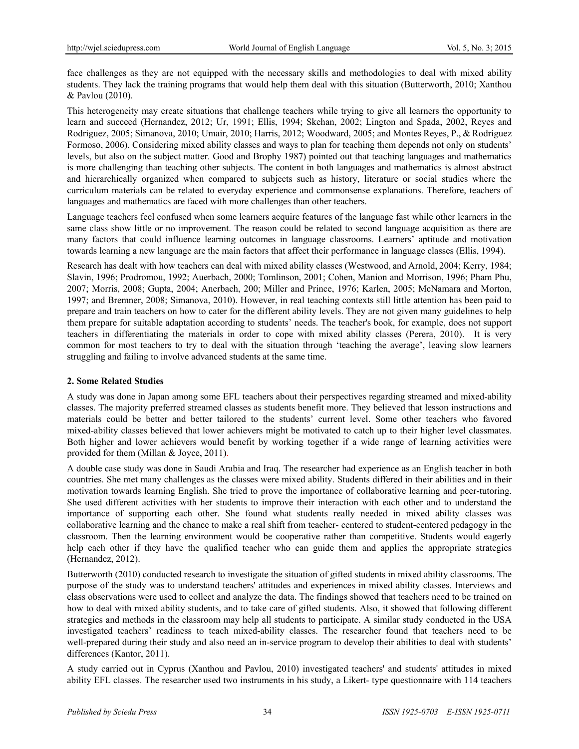face challenges as they are not equipped with the necessary skills and methodologies to deal with mixed ability students. They lack the training programs that would help them deal with this situation (Butterworth, 2010; Xanthou & Pavlou (2010).

This heterogeneity may create situations that challenge teachers while trying to give all learners the opportunity to learn and succeed (Hernandez, 2012; Ur, 1991; Ellis, 1994; Skehan, 2002; Lington and Spada, 2002, Reyes and Rodriguez, 2005; Simanova, 2010; Umair, 2010; Harris, 2012; Woodward, 2005; and Montes Reyes, P., & Rodríguez Formoso, 2006). Considering mixed ability classes and ways to plan for teaching them depends not only on students' levels, but also on the subject matter. Good and Brophy 1987) pointed out that teaching languages and mathematics is more challenging than teaching other subjects. The content in both languages and mathematics is almost abstract and hierarchically organized when compared to subjects such as history, literature or social studies where the curriculum materials can be related to everyday experience and commonsense explanations. Therefore, teachers of languages and mathematics are faced with more challenges than other teachers.

Language teachers feel confused when some learners acquire features of the language fast while other learners in the same class show little or no improvement. The reason could be related to second language acquisition as there are many factors that could influence learning outcomes in language classrooms. Learners' aptitude and motivation towards learning a new language are the main factors that affect their performance in language classes (Ellis, 1994).

Research has dealt with how teachers can deal with mixed ability classes (Westwood, and Arnold, 2004; Kerry, 1984; Slavin, 1996; Prodromou, 1992; Auerbach, 2000; Tomlinson, 2001; Cohen, Manion and Morrison, 1996; Pham Phu, 2007; Morris, 2008; Gupta, 2004; Anerbach, 200; Miller and Prince, 1976; Karlen, 2005; McNamara and Morton, 1997; and Bremner, 2008; Simanova, 2010). However, in real teaching contexts still little attention has been paid to prepare and train teachers on how to cater for the different ability levels. They are not given many guidelines to help them prepare for suitable adaptation according to students' needs. The teacher's book, for example, does not support teachers in differentiating the materials in order to cope with mixed ability classes (Perera, 2010). It is very common for most teachers to try to deal with the situation through 'teaching the average', leaving slow learners struggling and failing to involve advanced students at the same time.

## **2. Some Related Studies**

A study was done in Japan among some EFL teachers about their perspectives regarding streamed and mixed-ability classes. The majority preferred streamed classes as students benefit more. They believed that lesson instructions and materials could be better and better tailored to the students' current level. Some other teachers who favored mixed-ability classes believed that lower achievers might be motivated to catch up to their higher level classmates. Both higher and lower achievers would benefit by working together if a wide range of learning activities were provided for them (Millan & Joyce, 2011).

A double case study was done in Saudi Arabia and Iraq. The researcher had experience as an English teacher in both countries. She met many challenges as the classes were mixed ability. Students differed in their abilities and in their motivation towards learning English. She tried to prove the importance of collaborative learning and peer-tutoring. She used different activities with her students to improve their interaction with each other and to understand the importance of supporting each other. She found what students really needed in mixed ability classes was collaborative learning and the chance to make a real shift from teacher- centered to student-centered pedagogy in the classroom. Then the learning environment would be cooperative rather than competitive. Students would eagerly help each other if they have the qualified teacher who can guide them and applies the appropriate strategies (Hernandez, 2012).

Butterworth (2010) conducted research to investigate the situation of gifted students in mixed ability classrooms. The purpose of the study was to understand teachers' attitudes and experiences in mixed ability classes. Interviews and class observations were used to collect and analyze the data. The findings showed that teachers need to be trained on how to deal with mixed ability students, and to take care of gifted students. Also, it showed that following different strategies and methods in the classroom may help all students to participate. A similar study conducted in the USA investigated teachers' readiness to teach mixed-ability classes. The researcher found that teachers need to be well-prepared during their study and also need an in-service program to develop their abilities to deal with students' differences (Kantor, 2011).

A study carried out in Cyprus (Xanthou and Pavlou, 2010) investigated teachers' and students' attitudes in mixed ability EFL classes. The researcher used two instruments in his study, a Likert- type questionnaire with 114 teachers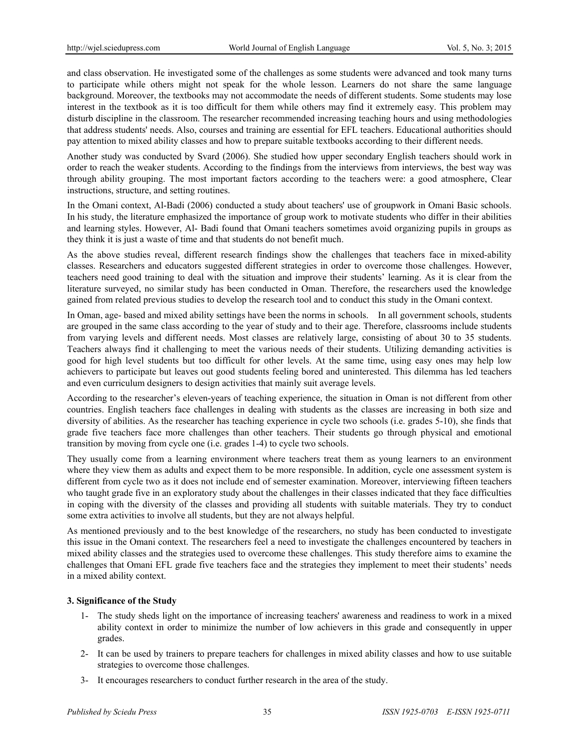and class observation. He investigated some of the challenges as some students were advanced and took many turns to participate while others might not speak for the whole lesson. Learners do not share the same language background. Moreover, the textbooks may not accommodate the needs of different students. Some students may lose interest in the textbook as it is too difficult for them while others may find it extremely easy. This problem may disturb discipline in the classroom. The researcher recommended increasing teaching hours and using methodologies that address students' needs. Also, courses and training are essential for EFL teachers. Educational authorities should pay attention to mixed ability classes and how to prepare suitable textbooks according to their different needs.

Another study was conducted by Svard (2006). She studied how upper secondary English teachers should work in order to reach the weaker students. According to the findings from the interviews from interviews, the best way was through ability grouping. The most important factors according to the teachers were: a good atmosphere, Clear instructions, structure, and setting routines.

In the Omani context, Al-Badi (2006) conducted a study about teachers' use of groupwork in Omani Basic schools. In his study, the literature emphasized the importance of group work to motivate students who differ in their abilities and learning styles. However, Al- Badi found that Omani teachers sometimes avoid organizing pupils in groups as they think it is just a waste of time and that students do not benefit much.

As the above studies reveal, different research findings show the challenges that teachers face in mixed-ability classes. Researchers and educators suggested different strategies in order to overcome those challenges. However, teachers need good training to deal with the situation and improve their students' learning. As it is clear from the literature surveyed, no similar study has been conducted in Oman. Therefore, the researchers used the knowledge gained from related previous studies to develop the research tool and to conduct this study in the Omani context.

In Oman, age- based and mixed ability settings have been the norms in schools. In all government schools, students are grouped in the same class according to the year of study and to their age. Therefore, classrooms include students from varying levels and different needs. Most classes are relatively large, consisting of about 30 to 35 students. Teachers always find it challenging to meet the various needs of their students. Utilizing demanding activities is good for high level students but too difficult for other levels. At the same time, using easy ones may help low achievers to participate but leaves out good students feeling bored and uninterested. This dilemma has led teachers and even curriculum designers to design activities that mainly suit average levels.

According to the researcher's eleven-years of teaching experience, the situation in Oman is not different from other countries. English teachers face challenges in dealing with students as the classes are increasing in both size and diversity of abilities. As the researcher has teaching experience in cycle two schools (i.e. grades 5-10), she finds that grade five teachers face more challenges than other teachers. Their students go through physical and emotional transition by moving from cycle one (i.e. grades 1-4) to cycle two schools.

They usually come from a learning environment where teachers treat them as young learners to an environment where they view them as adults and expect them to be more responsible. In addition, cycle one assessment system is different from cycle two as it does not include end of semester examination. Moreover, interviewing fifteen teachers who taught grade five in an exploratory study about the challenges in their classes indicated that they face difficulties in coping with the diversity of the classes and providing all students with suitable materials. They try to conduct some extra activities to involve all students, but they are not always helpful.

As mentioned previously and to the best knowledge of the researchers, no study has been conducted to investigate this issue in the Omani context. The researchers feel a need to investigate the challenges encountered by teachers in mixed ability classes and the strategies used to overcome these challenges. This study therefore aims to examine the challenges that Omani EFL grade five teachers face and the strategies they implement to meet their students' needs in a mixed ability context.

## **3. Significance of the Study**

- 1- The study sheds light on the importance of increasing teachers' awareness and readiness to work in a mixed ability context in order to minimize the number of low achievers in this grade and consequently in upper grades.
- 2- It can be used by trainers to prepare teachers for challenges in mixed ability classes and how to use suitable strategies to overcome those challenges.
- 3- It encourages researchers to conduct further research in the area of the study.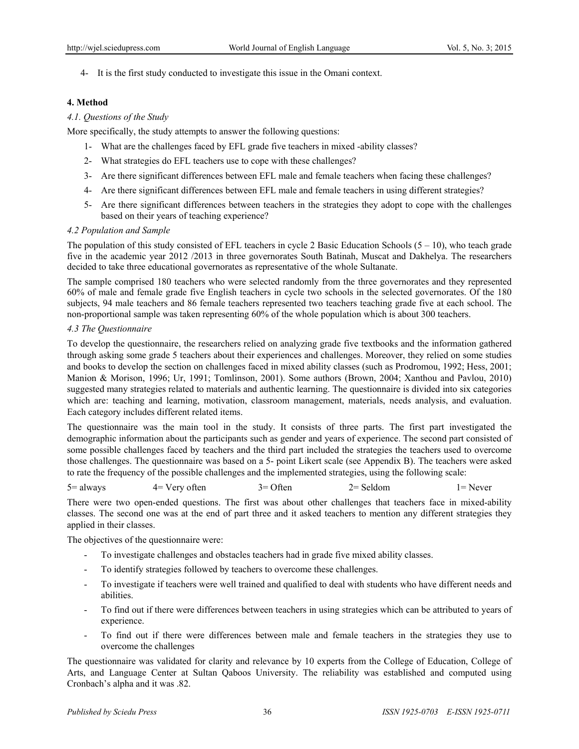4- It is the first study conducted to investigate this issue in the Omani context.

#### **4. Method**

#### *4.1. Questions of the Study*

More specifically, the study attempts to answer the following questions:

- 1- What are the challenges faced by EFL grade five teachers in mixed -ability classes?
- 2- What strategies do EFL teachers use to cope with these challenges?
- 3- Are there significant differences between EFL male and female teachers when facing these challenges?
- 4- Are there significant differences between EFL male and female teachers in using different strategies?
- 5- Are there significant differences between teachers in the strategies they adopt to cope with the challenges based on their years of teaching experience?

#### *4.2 Population and Sample*

The population of this study consisted of EFL teachers in cycle 2 Basic Education Schools  $(5 - 10)$ , who teach grade five in the academic year 2012 /2013 in three governorates South Batinah, Muscat and Dakhelya. The researchers decided to take three educational governorates as representative of the whole Sultanate.

The sample comprised 180 teachers who were selected randomly from the three governorates and they represented 60% of male and female grade five English teachers in cycle two schools in the selected governorates. Of the 180 subjects, 94 male teachers and 86 female teachers represented two teachers teaching grade five at each school. The non-proportional sample was taken representing 60% of the whole population which is about 300 teachers.

#### *4.3 The Questionnaire*

To develop the questionnaire, the researchers relied on analyzing grade five textbooks and the information gathered through asking some grade 5 teachers about their experiences and challenges. Moreover, they relied on some studies and books to develop the section on challenges faced in mixed ability classes (such as Prodromou, 1992; Hess, 2001; Manion & Morison, 1996; Ur, 1991; Tomlinson, 2001). Some authors (Brown, 2004; Xanthou and Pavlou, 2010) suggested many strategies related to materials and authentic learning. The questionnaire is divided into six categories which are: teaching and learning, motivation, classroom management, materials, needs analysis, and evaluation. Each category includes different related items.

The questionnaire was the main tool in the study. It consists of three parts. The first part investigated the demographic information about the participants such as gender and years of experience. The second part consisted of some possible challenges faced by teachers and the third part included the strategies the teachers used to overcome those challenges. The questionnaire was based on a 5- point Likert scale (see Appendix B). The teachers were asked to rate the frequency of the possible challenges and the implemented strategies, using the following scale:

 $5=$  always  $4=$  Very often  $3=$  Often  $2=$  Seldom  $1=$  Never

There were two open-ended questions. The first was about other challenges that teachers face in mixed-ability classes. The second one was at the end of part three and it asked teachers to mention any different strategies they applied in their classes.

The objectives of the questionnaire were:

- To investigate challenges and obstacles teachers had in grade five mixed ability classes.
- To identify strategies followed by teachers to overcome these challenges.
- To investigate if teachers were well trained and qualified to deal with students who have different needs and abilities.
- To find out if there were differences between teachers in using strategies which can be attributed to years of experience.
- To find out if there were differences between male and female teachers in the strategies they use to overcome the challenges

The questionnaire was validated for clarity and relevance by 10 experts from the College of Education, College of Arts, and Language Center at Sultan Qaboos University. The reliability was established and computed using Cronbach's alpha and it was .82.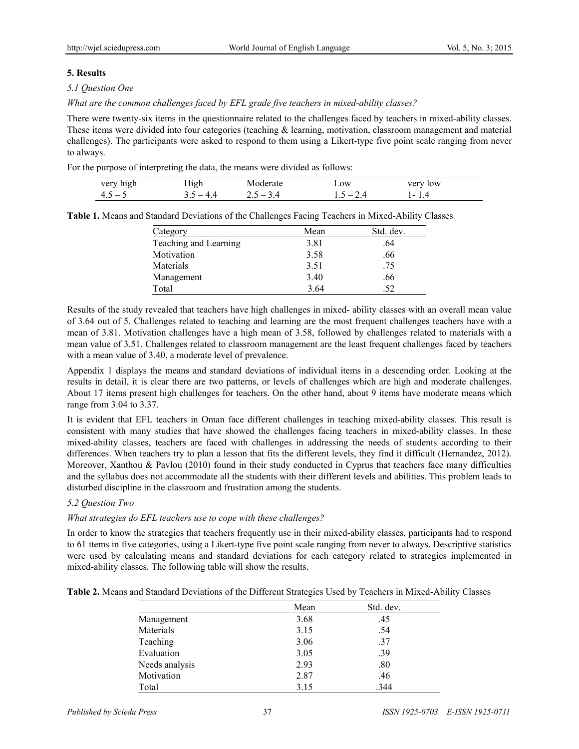## **5. Results**

#### *5.1 Question One*

*What are the common challenges faced by EFL grade five teachers in mixed-ability classes?* 

There were twenty-six items in the questionnaire related to the challenges faced by teachers in mixed-ability classes. These items were divided into four categories (teaching & learning, motivation, classroom management and material challenges). The participants were asked to respond to them using a Likert-type five point scale ranging from never to always.

For the purpose of interpreting the data, the means were divided as follows:

| $ +$ $ -$                      | $-1$       |                    | $L$ <sup>OW</sup>        |        |
|--------------------------------|------------|--------------------|--------------------------|--------|
| $\overline{\phantom{a}}$<br>τ. | . .<br>. . | _<br><u>.</u><br>- | $\cdot\cdot$<br>. .<br>- | -<br>. |

**Table 1.** Means and Standard Deviations of the Challenges Facing Teachers in Mixed-Ability Classes

| Category              | Mean | Std. dev. |
|-----------------------|------|-----------|
| Teaching and Learning | 3.81 | .64       |
| Motivation            | 3.58 | .66       |
| <b>Materials</b>      | 3.51 | .75       |
| Management            | 3.40 | .66       |
| Total                 | 3.64 | 52        |

Results of the study revealed that teachers have high challenges in mixed- ability classes with an overall mean value of 3.64 out of 5. Challenges related to teaching and learning are the most frequent challenges teachers have with a mean of 3.81. Motivation challenges have a high mean of 3.58, followed by challenges related to materials with a mean value of 3.51. Challenges related to classroom management are the least frequent challenges faced by teachers with a mean value of 3.40, a moderate level of prevalence.

Appendix 1 displays the means and standard deviations of individual items in a descending order. Looking at the results in detail, it is clear there are two patterns, or levels of challenges which are high and moderate challenges. About 17 items present high challenges for teachers. On the other hand, about 9 items have moderate means which range from 3.04 to 3.37.

It is evident that EFL teachers in Oman face different challenges in teaching mixed-ability classes. This result is consistent with many studies that have showed the challenges facing teachers in mixed-ability classes. In these mixed-ability classes, teachers are faced with challenges in addressing the needs of students according to their differences. When teachers try to plan a lesson that fits the different levels, they find it difficult (Hernandez, 2012). Moreover, Xanthou & Pavlou (2010) found in their study conducted in Cyprus that teachers face many difficulties and the syllabus does not accommodate all the students with their different levels and abilities. This problem leads to disturbed discipline in the classroom and frustration among the students.

## *5.2 Question Two*

## *What strategies do EFL teachers use to cope with these challenges?*

In order to know the strategies that teachers frequently use in their mixed-ability classes, participants had to respond to 61 items in five categories, using a Likert-type five point scale ranging from never to always. Descriptive statistics were used by calculating means and standard deviations for each category related to strategies implemented in mixed-ability classes. The following table will show the results.

| Table 2. Means and Standard Deviations of the Different Strategies Used by Teachers in Mixed-Ability Classes |  |  |
|--------------------------------------------------------------------------------------------------------------|--|--|
|--------------------------------------------------------------------------------------------------------------|--|--|

|                | Mean | Std. dev. |  |
|----------------|------|-----------|--|
| Management     | 3.68 | .45       |  |
| Materials      | 3.15 | .54       |  |
| Teaching       | 3.06 | .37       |  |
| Evaluation     | 3.05 | .39       |  |
| Needs analysis | 2.93 | .80       |  |
| Motivation     | 2.87 | .46       |  |
| Total          | 3.15 | .344      |  |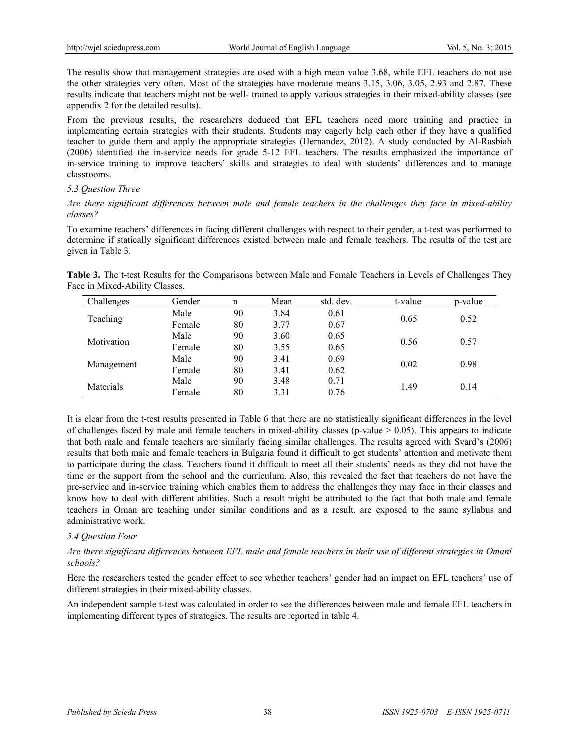The results show that management strategies are used with a high mean value 3.68, while EFL teachers do not use the other strategies very often. Most of the strategies have moderate means 3.15, 3.06, 3.05, 2.93 and 2.87. These results indicate that teachers might not be well- trained to apply various strategies in their mixed-ability classes (see appendix 2 for the detailed results).

From the previous results, the researchers deduced that EFL teachers need more training and practice in implementing certain strategies with their students. Students may eagerly help each other if they have a qualified teacher to guide them and apply the appropriate strategies (Hernandez, 2012). A study conducted by Al-Rasbiah (2006) identified the in-service needs for grade 5-12 EFL teachers. The results emphasized the importance of in-service training to improve teachers' skills and strategies to deal with students' differences and to manage classrooms.

## *5.3 Question Three*

## *Are there significant differences between male and female teachers in the challenges they face in mixed-ability classes?*

To examine teachers' differences in facing different challenges with respect to their gender, a t-test was performed to determine if statically significant differences existed between male and female teachers. The results of the test are given in Table 3.

**Table 3.** The t-test Results for the Comparisons between Male and Female Teachers in Levels of Challenges They Face in Mixed-Ability Classes.

| Challenges | Gender | n  | Mean | std. dev. | t-value | p-value |
|------------|--------|----|------|-----------|---------|---------|
| Teaching   | Male   | 90 | 3.84 | 0.61      | 0.65    |         |
|            | Female | 80 | 3.77 | 0.67      |         | 0.52    |
| Motivation | Male   | 90 | 3.60 | 0.65      |         | 0.57    |
|            | Female | 80 | 3.55 | 0.65      | 0.56    |         |
| Management | Male   | 90 | 3.41 | 0.69      |         | 0.98    |
|            | Female | 80 | 3.41 | 0.62      | 0.02    |         |
| Materials  | Male   | 90 | 3.48 | 0.71      |         |         |
|            | Female | 80 | 3.31 | 0.76      | 1.49    | 0.14    |

It is clear from the t-test results presented in Table 6 that there are no statistically significant differences in the level of challenges faced by male and female teachers in mixed-ability classes (p-value  $> 0.05$ ). This appears to indicate that both male and female teachers are similarly facing similar challenges. The results agreed with Svard's (2006) results that both male and female teachers in Bulgaria found it difficult to get students' attention and motivate them to participate during the class. Teachers found it difficult to meet all their students' needs as they did not have the time or the support from the school and the curriculum. Also, this revealed the fact that teachers do not have the pre-service and in-service training which enables them to address the challenges they may face in their classes and know how to deal with different abilities. Such a result might be attributed to the fact that both male and female teachers in Oman are teaching under similar conditions and as a result, are exposed to the same syllabus and administrative work.

# *5.4 Question Four*

## *Are there significant differences between EFL male and female teachers in their use of different strategies in Omani schools?*

Here the researchers tested the gender effect to see whether teachers' gender had an impact on EFL teachers' use of different strategies in their mixed-ability classes.

An independent sample t-test was calculated in order to see the differences between male and female EFL teachers in implementing different types of strategies. The results are reported in table 4.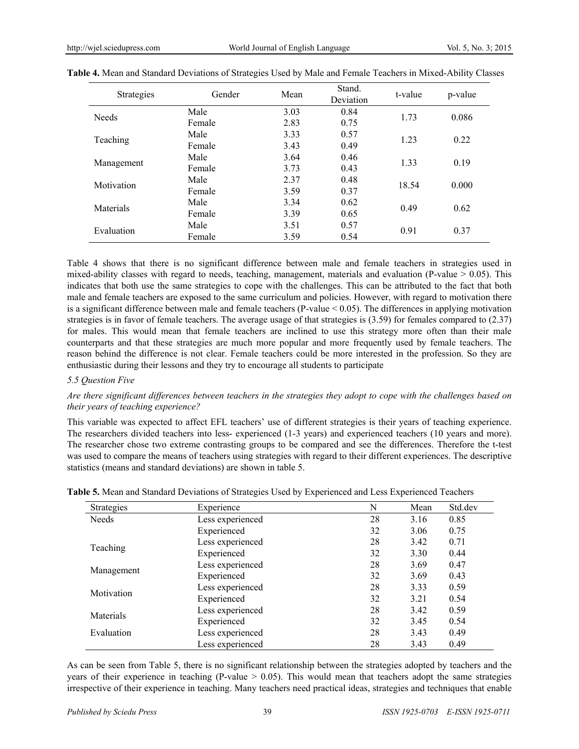| <b>Strategies</b> | Gender | Mean | Stand.<br>Deviation | t-value | p-value |  |
|-------------------|--------|------|---------------------|---------|---------|--|
| <b>Needs</b>      | Male   | 3.03 | 0.84                | 1.73    |         |  |
|                   | Female | 2.83 | 0.75                |         | 0.086   |  |
|                   | Male   | 3.33 | 0.57                |         | 0.22    |  |
| Teaching          | Female | 3.43 | 0.49                | 1.23    |         |  |
|                   | Male   | 3.64 | 0.46                | 1.33    | 0.19    |  |
| Management        | Female | 3.73 | 0.43                |         |         |  |
|                   | Male   | 2.37 | 0.48                | 18.54   | 0.000   |  |
| Motivation        | Female | 3.59 | 0.37                |         |         |  |
|                   | Male   | 3.34 | 0.62                |         |         |  |
| Materials         | Female | 3.39 | 0.65                | 0.49    | 0.62    |  |
| Evaluation        | Male   | 3.51 | 0.57                |         |         |  |
|                   | Female | 3.59 | 0.54                | 0.91    | 0.37    |  |

| Table 4. Mean and Standard Deviations of Strategies Used by Male and Female Teachers in Mixed-Ability Classes |  |  |
|---------------------------------------------------------------------------------------------------------------|--|--|
|---------------------------------------------------------------------------------------------------------------|--|--|

Table 4 shows that there is no significant difference between male and female teachers in strategies used in mixed-ability classes with regard to needs, teaching, management, materials and evaluation (P-value  $> 0.05$ ). This indicates that both use the same strategies to cope with the challenges. This can be attributed to the fact that both male and female teachers are exposed to the same curriculum and policies. However, with regard to motivation there is a significant difference between male and female teachers (P-value  $< 0.05$ ). The differences in applying motivation strategies is in favor of female teachers. The average usage of that strategies is (3.59) for females compared to (2.37) for males. This would mean that female teachers are inclined to use this strategy more often than their male counterparts and that these strategies are much more popular and more frequently used by female teachers. The reason behind the difference is not clear. Female teachers could be more interested in the profession. So they are enthusiastic during their lessons and they try to encourage all students to participate

#### *5.5 Question Five*

## *Are there significant differences between teachers in the strategies they adopt to cope with the challenges based on their years of teaching experience?*

This variable was expected to affect EFL teachers' use of different strategies is their years of teaching experience. The researchers divided teachers into less- experienced (1-3 years) and experienced teachers (10 years and more). The researcher chose two extreme contrasting groups to be compared and see the differences. Therefore the t-test was used to compare the means of teachers using strategies with regard to their different experiences. The descriptive statistics (means and standard deviations) are shown in table 5.

| Strategies | Experience       | N  | Mean | Std.dev |
|------------|------------------|----|------|---------|
| Needs      | Less experienced | 28 | 3.16 | 0.85    |
|            | Experienced      | 32 | 3.06 | 0.75    |
|            | Less experienced | 28 | 3.42 | 0.71    |
| Teaching   | Experienced      | 32 | 3.30 | 0.44    |
|            | Less experienced | 28 | 3.69 | 0.47    |
| Management | Experienced      | 32 | 3.69 | 0.43    |
|            | Less experienced | 28 | 3.33 | 0.59    |
| Motivation | Experienced      | 32 | 3.21 | 0.54    |
|            | Less experienced | 28 | 3.42 | 0.59    |
| Materials  | Experienced      | 32 | 3.45 | 0.54    |
| Evaluation | Less experienced | 28 | 3.43 | 0.49    |
|            | Less experienced | 28 | 3.43 | 0.49    |

**Table 5.** Mean and Standard Deviations of Strategies Used by Experienced and Less Experienced Teachers

As can be seen from Table 5, there is no significant relationship between the strategies adopted by teachers and the years of their experience in teaching (P-value  $> 0.05$ ). This would mean that teachers adopt the same strategies irrespective of their experience in teaching. Many teachers need practical ideas, strategies and techniques that enable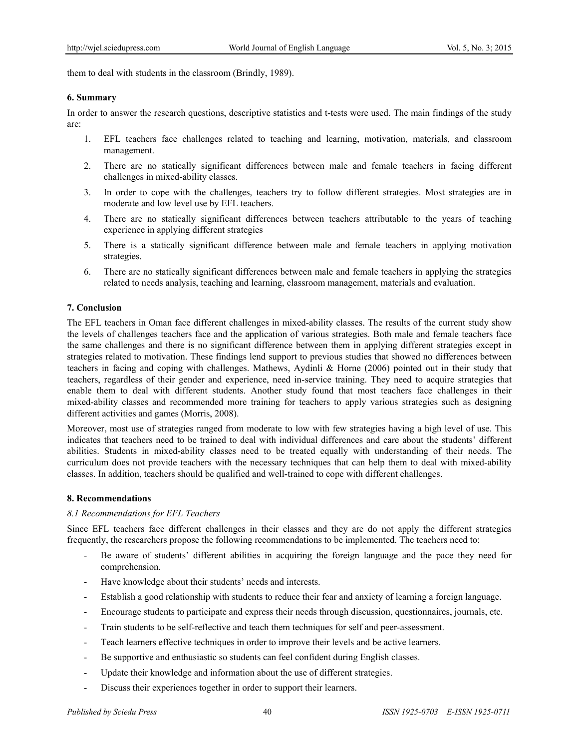them to deal with students in the classroom (Brindly, 1989).

#### **6. Summary**

In order to answer the research questions, descriptive statistics and t-tests were used. The main findings of the study are:

- 1. EFL teachers face challenges related to teaching and learning, motivation, materials, and classroom management.
- 2. There are no statically significant differences between male and female teachers in facing different challenges in mixed-ability classes.
- 3. In order to cope with the challenges, teachers try to follow different strategies. Most strategies are in moderate and low level use by EFL teachers.
- 4. There are no statically significant differences between teachers attributable to the years of teaching experience in applying different strategies
- 5. There is a statically significant difference between male and female teachers in applying motivation strategies.
- 6. There are no statically significant differences between male and female teachers in applying the strategies related to needs analysis, teaching and learning, classroom management, materials and evaluation.

## **7. Conclusion**

The EFL teachers in Oman face different challenges in mixed-ability classes. The results of the current study show the levels of challenges teachers face and the application of various strategies. Both male and female teachers face the same challenges and there is no significant difference between them in applying different strategies except in strategies related to motivation. These findings lend support to previous studies that showed no differences between teachers in facing and coping with challenges. Mathews, Aydinli & Horne (2006) pointed out in their study that teachers, regardless of their gender and experience, need in-service training. They need to acquire strategies that enable them to deal with different students. Another study found that most teachers face challenges in their mixed-ability classes and recommended more training for teachers to apply various strategies such as designing different activities and games (Morris, 2008).

Moreover, most use of strategies ranged from moderate to low with few strategies having a high level of use. This indicates that teachers need to be trained to deal with individual differences and care about the students' different abilities. Students in mixed-ability classes need to be treated equally with understanding of their needs. The curriculum does not provide teachers with the necessary techniques that can help them to deal with mixed-ability classes. In addition, teachers should be qualified and well-trained to cope with different challenges.

## **8. Recommendations**

## *8.1 Recommendations for EFL Teachers*

Since EFL teachers face different challenges in their classes and they are do not apply the different strategies frequently, the researchers propose the following recommendations to be implemented. The teachers need to:

- Be aware of students' different abilities in acquiring the foreign language and the pace they need for comprehension.
- Have knowledge about their students' needs and interests.
- Establish a good relationship with students to reduce their fear and anxiety of learning a foreign language.
- Encourage students to participate and express their needs through discussion, questionnaires, journals, etc.
- Train students to be self-reflective and teach them techniques for self and peer-assessment.
- Teach learners effective techniques in order to improve their levels and be active learners.
- Be supportive and enthusiastic so students can feel confident during English classes.
- Update their knowledge and information about the use of different strategies.
- Discuss their experiences together in order to support their learners.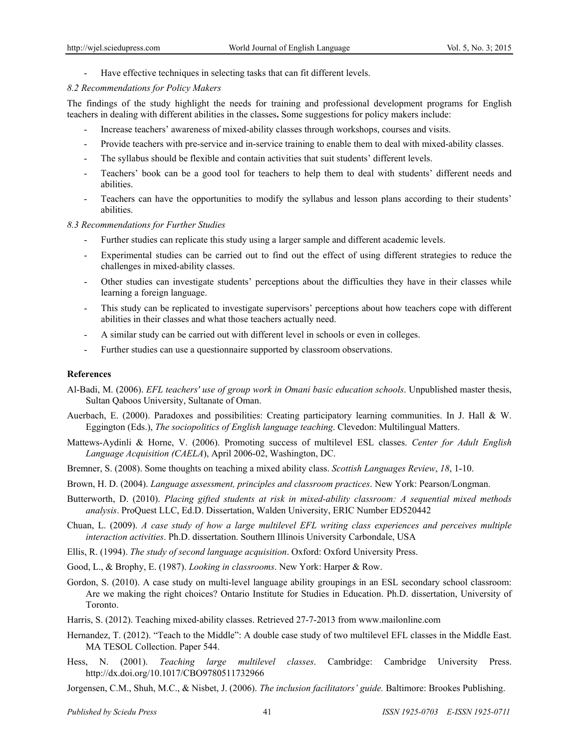Have effective techniques in selecting tasks that can fit different levels.

#### *8.2 Recommendations for Policy Makers*

The findings of the study highlight the needs for training and professional development programs for English teachers in dealing with different abilities in the classes**.** Some suggestions for policy makers include:

- Increase teachers' awareness of mixed-ability classes through workshops, courses and visits.
- Provide teachers with pre-service and in-service training to enable them to deal with mixed-ability classes.
- The syllabus should be flexible and contain activities that suit students' different levels.
- Teachers' book can be a good tool for teachers to help them to deal with students' different needs and abilities.
- Teachers can have the opportunities to modify the syllabus and lesson plans according to their students' abilities.

#### *8.3 Recommendations for Further Studies*

- Further studies can replicate this study using a larger sample and different academic levels.
- Experimental studies can be carried out to find out the effect of using different strategies to reduce the challenges in mixed-ability classes.
- Other studies can investigate students' perceptions about the difficulties they have in their classes while learning a foreign language.
- This study can be replicated to investigate supervisors' perceptions about how teachers cope with different abilities in their classes and what those teachers actually need.
- A similar study can be carried out with different level in schools or even in colleges.
- Further studies can use a questionnaire supported by classroom observations.

#### **References**

- Al-Badi, M. (2006). *EFL teachers' use of group work in Omani basic education schools*. Unpublished master thesis, Sultan Qaboos University, Sultanate of Oman.
- Auerbach, E. (2000). Paradoxes and possibilities: Creating participatory learning communities. In J. Hall & W. Eggington (Eds.), *The sociopolitics of English language teaching*. Clevedon: Multilingual Matters.
- Mattews-Aydinli & Horne, V. (2006). Promoting success of multilevel ESL classes. *Center for Adult English Language Acquisition (CAELA*), April 2006-02, Washington, DC.
- Bremner, S. (2008). Some thoughts on teaching a mixed ability class. *Scottish Languages Review*, *18*, 1-10.
- Brown, H. D. (2004). *Language assessment, principles and classroom practices*. New York: Pearson/Longman.
- Butterworth, D. (2010). *Placing gifted students at risk in mixed-ability classroom: A sequential mixed methods analysis*. ProQuest LLC, Ed.D. Dissertation, Walden University, ERIC Number ED520442
- Chuan, L. (2009). *A case study of how a large multilevel EFL writing class experiences and perceives multiple interaction activities*. Ph.D. dissertation. Southern Illinois University Carbondale, USA
- Ellis, R. (1994). *The study of second language acquisition*. Oxford: Oxford University Press.
- Good, L., & Brophy, E. (1987). *Looking in classrooms*. New York: Harper & Row.
- Gordon, S. (2010). A case study on multi-level language ability groupings in an ESL secondary school classroom: Are we making the right choices? Ontario Institute for Studies in Education. Ph.D. dissertation, University of Toronto.
- Harris, S. (2012). Teaching mixed-ability classes. Retrieved 27-7-2013 from www.mailonline.com
- Hernandez, T. (2012). "Teach to the Middle": A double case study of two multilevel EFL classes in the Middle East. MA TESOL Collection. Paper 544.
- Hess, N. (2001). *Teaching large multilevel classes*. Cambridge: Cambridge University Press. http://dx.doi.org/10.1017/CBO9780511732966
- Jorgensen, C.M., Shuh, M.C., & Nisbet, J. (2006). *The inclusion facilitators' guide.* Baltimore: Brookes Publishing.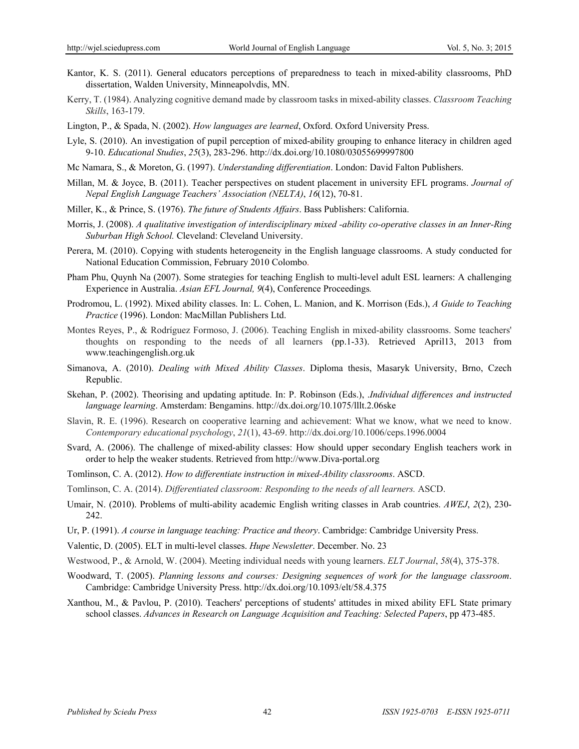- Kantor, K. S. (2011). General educators perceptions of preparedness to teach in mixed-ability classrooms, PhD dissertation, Walden University, Minneapolvdis, MN.
- Kerry, T. (1984). Analyzing cognitive demand made by classroom tasks in mixed-ability classes. *Classroom Teaching Skills*, 163-179.

Lington, P., & Spada, N. (2002). *How languages are learned*, Oxford. Oxford University Press.

- Lyle, S. (2010). An investigation of pupil perception of mixed-ability grouping to enhance literacy in children aged 9-10. *Educational Studies*, *25*(3), 283-296. http://dx.doi.org/10.1080/03055699997800
- Mc Namara, S., & Moreton, G. (1997). *Understanding differentiation*. London: David Falton Publishers.
- Millan, M. & Joyce, B. (2011). Teacher perspectives on student placement in university EFL programs. *Journal of Nepal English Language Teachers' Association (NELTA)*, *16*(12), 70-81.
- Miller, K., & Prince, S. (1976). *The future of Students Affairs*. Bass Publishers: California.
- Morris, J. (2008). *A qualitative investigation of interdisciplinary mixed -ability co-operative classes in an Inner-Ring Suburban High School.* Cleveland: Cleveland University.
- Perera, M. (2010). Copying with students heterogeneity in the English language classrooms. A study conducted for National Education Commission, February 2010 Colombo.
- Pham Phu, Quynh Na (2007). Some strategies for teaching English to multi-level adult ESL learners: A challenging Experience in Australia. *Asian EFL Journal, 9*(4), Conference Proceedings*.*
- Prodromou, L. (1992). Mixed ability classes. In: L. Cohen, L. Manion, and K. Morrison (Eds.), *A Guide to Teaching Practice* (1996). London: MacMillan Publishers Ltd.
- Montes Reyes, P., & Rodríguez Formoso, J. (2006). Teaching English in mixed-ability classrooms. Some teachers' thoughts on responding to the needs of all learners (pp.1-33). Retrieved April13, 2013 from www.teachingenglish.org.uk
- Simanova, A. (2010). *Dealing with Mixed Ability Classes*. Diploma thesis, Masaryk University, Brno, Czech Republic.
- Skehan, P. (2002). Theorising and updating aptitude. In: P. Robinson (Eds.), .*Individual differences and instructed language learning*. Amsterdam: Bengamins. http://dx.doi.org/10.1075/lllt.2.06ske
- Slavin, R. E. (1996). Research on cooperative learning and achievement: What we know, what we need to know. *Contemporary educational psychology*, *21*(1), 43-69. http://dx.doi.org/10.1006/ceps.1996.0004
- Svard, A. (2006). The challenge of mixed-ability classes: How should upper secondary English teachers work in order to help the weaker students. Retrieved from http://www.Diva-portal.org
- Tomlinson, C. A. (2012). *How to differentiate instruction in mixed-Ability classrooms*. ASCD.
- Tomlinson, C. A. (2014). *Differentiated classroom: Responding to the needs of all learners.* ASCD.
- Umair, N. (2010). Problems of multi-ability academic English writing classes in Arab countries. *AWEJ*, *2*(2), 230- 242.
- Ur, P. (1991). *A course in language teaching: Practice and theory*. Cambridge: Cambridge University Press.
- Valentic, D. (2005). ELT in multi-level classes. *Hupe Newsletter*. December. No. 23
- Westwood, P., & Arnold, W. (2004). Meeting individual needs with young learners. *ELT Journal*, *58*(4), 375-378.
- Woodward, T. (2005). *Planning lessons and courses: Designing sequences of work for the language classroom*. Cambridge: Cambridge University Press. http://dx.doi.org/10.1093/elt/58.4.375
- Xanthou, M., & Pavlou, P. (2010). Teachers' perceptions of students' attitudes in mixed ability EFL State primary school classes. *Advances in Research on Language Acquisition and Teaching: Selected Papers*, pp 473-485.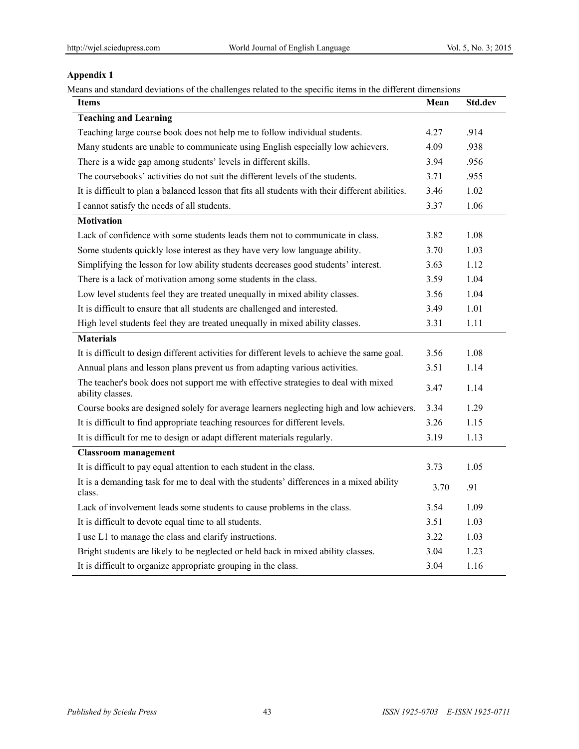## **Appendix 1**

Means and standard deviations of the challenges related to the specific items in the different dimensions

| <b>Items</b>                                                                                            | Mean | Std.dev |
|---------------------------------------------------------------------------------------------------------|------|---------|
| <b>Teaching and Learning</b>                                                                            |      |         |
| Teaching large course book does not help me to follow individual students.                              | 4.27 | .914    |
| Many students are unable to communicate using English especially low achievers.                         | 4.09 | .938    |
| There is a wide gap among students' levels in different skills.                                         | 3.94 | .956    |
| The coursebooks' activities do not suit the different levels of the students.                           | 3.71 | .955    |
| It is difficult to plan a balanced lesson that fits all students with their different abilities.        | 3.46 | 1.02    |
| I cannot satisfy the needs of all students.                                                             | 3.37 | 1.06    |
| <b>Motivation</b>                                                                                       |      |         |
| Lack of confidence with some students leads them not to communicate in class.                           | 3.82 | 1.08    |
| Some students quickly lose interest as they have very low language ability.                             | 3.70 | 1.03    |
| Simplifying the lesson for low ability students decreases good students' interest.                      | 3.63 | 1.12    |
| There is a lack of motivation among some students in the class.                                         | 3.59 | 1.04    |
| Low level students feel they are treated unequally in mixed ability classes.                            | 3.56 | 1.04    |
| It is difficult to ensure that all students are challenged and interested.                              | 3.49 | 1.01    |
| High level students feel they are treated unequally in mixed ability classes.                           | 3.31 | 1.11    |
| <b>Materials</b>                                                                                        |      |         |
| It is difficult to design different activities for different levels to achieve the same goal.           | 3.56 | 1.08    |
| Annual plans and lesson plans prevent us from adapting various activities.                              | 3.51 | 1.14    |
| The teacher's book does not support me with effective strategies to deal with mixed<br>ability classes. | 3.47 | 1.14    |
| Course books are designed solely for average learners neglecting high and low achievers.                | 3.34 | 1.29    |
| It is difficult to find appropriate teaching resources for different levels.                            | 3.26 | 1.15    |
| It is difficult for me to design or adapt different materials regularly.                                | 3.19 | 1.13    |
| <b>Classroom management</b>                                                                             |      |         |
| It is difficult to pay equal attention to each student in the class.                                    | 3.73 | 1.05    |
| It is a demanding task for me to deal with the students' differences in a mixed ability<br>class.       | 3.70 | .91     |
| Lack of involvement leads some students to cause problems in the class.                                 | 3.54 | 1.09    |
| It is difficult to devote equal time to all students.                                                   | 3.51 | 1.03    |
| I use L1 to manage the class and clarify instructions.                                                  | 3.22 | 1.03    |
| Bright students are likely to be neglected or held back in mixed ability classes.                       | 3.04 | 1.23    |
| It is difficult to organize appropriate grouping in the class.                                          | 3.04 | 1.16    |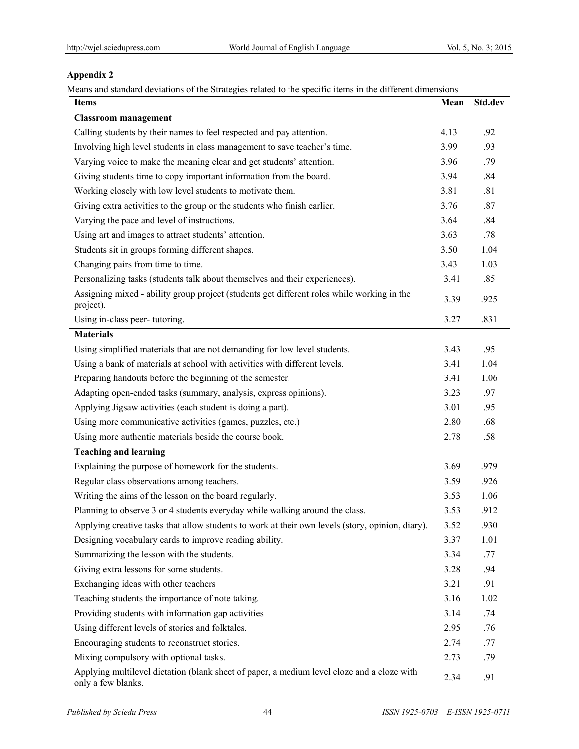# **Appendix 2**

Means and standard deviations of the Strategies related to the specific items in the different dimensions

| <b>Items</b>                                                                                                     | Mean | Std.dev |
|------------------------------------------------------------------------------------------------------------------|------|---------|
| <b>Classroom management</b>                                                                                      |      |         |
| Calling students by their names to feel respected and pay attention.                                             | 4.13 | .92     |
| Involving high level students in class management to save teacher's time.                                        | 3.99 | .93     |
| Varying voice to make the meaning clear and get students' attention.                                             | 3.96 | .79     |
| Giving students time to copy important information from the board.                                               | 3.94 | .84     |
| Working closely with low level students to motivate them.                                                        | 3.81 | .81     |
| Giving extra activities to the group or the students who finish earlier.                                         | 3.76 | .87     |
| Varying the pace and level of instructions.                                                                      | 3.64 | .84     |
| Using art and images to attract students' attention.                                                             | 3.63 | .78     |
| Students sit in groups forming different shapes.                                                                 | 3.50 | 1.04    |
| Changing pairs from time to time.                                                                                | 3.43 | 1.03    |
| Personalizing tasks (students talk about themselves and their experiences).                                      | 3.41 | .85     |
| Assigning mixed - ability group project (students get different roles while working in the<br>project).          | 3.39 | .925    |
| Using in-class peer-tutoring.                                                                                    | 3.27 | .831    |
| <b>Materials</b>                                                                                                 |      |         |
| Using simplified materials that are not demanding for low level students.                                        | 3.43 | .95     |
| Using a bank of materials at school with activities with different levels.                                       | 3.41 | 1.04    |
| Preparing handouts before the beginning of the semester.                                                         | 3.41 | 1.06    |
| Adapting open-ended tasks (summary, analysis, express opinions).                                                 | 3.23 | .97     |
| Applying Jigsaw activities (each student is doing a part).                                                       | 3.01 | .95     |
| Using more communicative activities (games, puzzles, etc.)                                                       | 2.80 | .68     |
| Using more authentic materials beside the course book.                                                           | 2.78 | .58     |
| <b>Teaching and learning</b>                                                                                     |      |         |
| Explaining the purpose of homework for the students.                                                             | 3.69 | .979    |
| Regular class observations among teachers.                                                                       | 3.59 | .926    |
| Writing the aims of the lesson on the board regularly.                                                           | 3.53 | 1.06    |
| Planning to observe 3 or 4 students everyday while walking around the class.                                     | 3.53 | .912    |
| Applying creative tasks that allow students to work at their own levels (story, opinion, diary).                 | 3.52 | .930    |
| Designing vocabulary cards to improve reading ability.                                                           | 3.37 | 1.01    |
| Summarizing the lesson with the students.                                                                        | 3.34 | .77     |
| Giving extra lessons for some students.                                                                          | 3.28 | .94     |
| Exchanging ideas with other teachers                                                                             | 3.21 | .91     |
| Teaching students the importance of note taking.                                                                 | 3.16 | 1.02    |
| Providing students with information gap activities                                                               | 3.14 | .74     |
| Using different levels of stories and folktales.                                                                 | 2.95 | .76     |
| Encouraging students to reconstruct stories.                                                                     | 2.74 | .77     |
| Mixing compulsory with optional tasks.                                                                           | 2.73 | .79     |
| Applying multilevel dictation (blank sheet of paper, a medium level cloze and a cloze with<br>only a few blanks. | 2.34 | .91     |